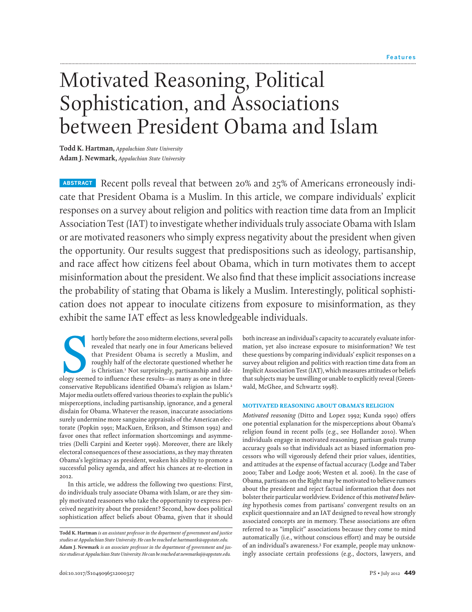# Motivated Reasoning, Political Sophistication, and Associations between President Obama and Islam

**Todd K. Hartman,** *Appalachian State University* **Adam J. Newmark,** *Appalachian State University*

**ABSTRACT** Recent polls reveal that between 20% and 25% of Americans erroneously indicate that President Obama is a Muslim. In this article, we compare individuals' explicit responses on a survey about religion and politics with reaction time data from an Implicit AssociationTest (IAT) to investigate whether individuals truly associate Obama with Islam or are motivated reasoners who simply express negativity about the president when given the opportunity. Our results suggest that predispositions such as ideology, partisanship, and race affect how citizens feel about Obama, which in turn motivates them to accept misinformation about the president.We also find that these implicit associations increase the probability of stating that Obama is likely a Muslim. Interestingly, political sophistication does not appear to inoculate citizens from exposure to misinformation, as they exhibit the same IAT effect as less knowledgeable individuals.

hortly before the 2010 midterm elections, several polls<br>revealed that nearly one in four Americans believed<br>that President Obama is secretly a Muslim, and<br>roughly half of the electorate questioned whether he<br>is Christian.<sup></sup> hortly before the 2010 midterm elections, several polls revealed that nearly one in four Americans believed that President Obama is secretly a Muslim, and roughly half of the electorate questioned whether he is Christian.<sup>1</sup> Not surprisingly, partisanship and ideconservative Republicans identified Obama's religion as Islam.<sup>2</sup> Major media outlets offered various theories to explain the public's misperceptions, including partisanship, ignorance, and a general disdain for Obama. Whatever the reason, inaccurate associations surely undermine more sanguine appraisals of the American electorate (Popkin 1991; MacKuen, Erikson, and Stimson 1992) and favor ones that reflect information shortcomings and asymmetries (Delli Carpini and Keeter 1996). Moreover, there are likely electoral consequences of these associations, as they may threaten Obama's legitimacy as president, weaken his ability to promote a successful policy agenda, and affect his chances at re-election in 2012.

In this article, we address the following two questions: First, do individuals truly associate Obama with Islam, or are they simply motivated reasoners who take the opportunity to express perceived negativity about the president? Second, how does political sophistication affect beliefs about Obama, given that it should both increase an individual's capacity to accurately evaluate information, yet also increase exposure to misinformation? We test these questions by comparing individuals' explicit responses on a survey about religion and politics with reaction time data from an Implicit Association Test (IAT), which measures attitudes or beliefs that subjects may be unwilling or unable to explicitly reveal (Greenwald, McGhee, and Schwartz 1998).

## MOTIVATED REASONING ABOUT OBAMA'S RELIGION

*Motivated reasoning* (Ditto and Lopez 1992; Kunda 1990) offers one potential explanation for the misperceptions about Obama's religion found in recent polls (e.g., see Hollander 2010). When individuals engage in motivated reasoning, partisan goals trump accuracy goals so that individuals act as biased information processors who will vigorously defend their prior values, identities, and attitudes at the expense of factual accuracy (Lodge and Taber 2000; Taber and Lodge 2006; Westen et al. 2006). In the case of Obama, partisans on the Right may be motivated to believe rumors about the president and reject factual information that does not bolster their particular worldview. Evidence of this*motivated believing* hypothesis comes from partisans' convergent results on an explicit questionnaire and an IAT designed to reveal how strongly associated concepts are in memory. These associations are often referred to as "implicit" associations because they come to mind automatically (i.e., without conscious effort) and may be outside of an individual's awareness.3 For example, people may unknowingly associate certain professions (e.g., doctors, lawyers, and

**Todd K. Hartman** *is an assistant professor in the department of government and justice studies at Appalachian State University. He can be reached at hartmantk@appstate.edu.* **Adam J. Newmark** *is an associate professor in the department of government and justice studiesatAppalachian StateUniversity.He canbe reachedat newmarkaj@appstate.edu.*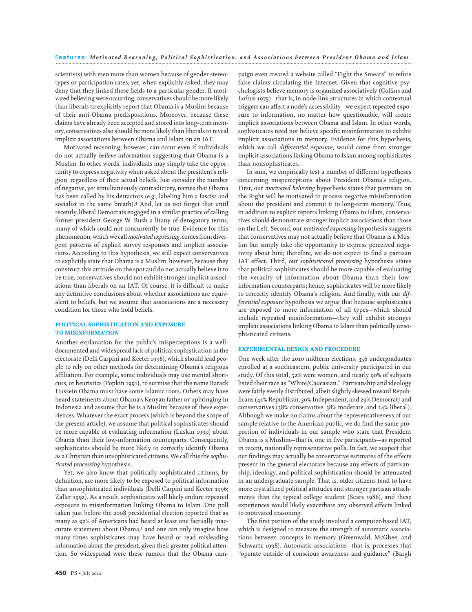scientists) with men more than women because of gender stereotypes or participation rates; yet, when explicitly asked, they may deny that they linked these fields to a particular gender. If motivated believing were occurring, conservatives should be more likely than liberals to explicitly report that Obama is a Muslim because of their anti-Obama predispositions. Moreover, because these claims have already been accepted and stored into long-term memory, conservatives also should be more likely than liberals to reveal implicit associations between Obama and Islam on an IAT.

Motivated reasoning, however, can occur even if individuals do not actually *believe* information suggesting that Obama is a Muslim. In other words, individuals may simply take the opportunity to express negativity when asked about the president's religion, regardless of their actual beliefs. Just consider the number of negative, yet simultaneously contradictory, names that Obama has been called by his detractors (e.g., labeling him a fascist and socialist in the same breath).4 And, let us not forget that until recently, liberal Democrats engaged in a similar practice of calling former president George W. Bush a litany of derogatory terms, many of which could not concurrently be true. Evidence for this phenomenon, which we call*motivated expressing*, comes from divergent patterns of explicit survey responses and implicit associations. According to this hypothesis, we still expect conservatives to explicitly state that Obama is a Muslim; however, because they construct this attitude on the spot and do not actually believe it to be true, conservatives should not exhibit stronger implicit associations than liberals on an IAT. Of course, it is difficult to make any definitive conclusions about whether associations are equivalent to beliefs, but we assume that associations are a necessary condition for those who hold beliefs.

## POLITICAL SOPHISTICATION AND EXPOSURE TO MISINFORMATION

Another explanation for the public's misperceptions is a welldocumented and widespread lack of political sophistication in the electorate (Delli Carpini and Keeter 1996), which should lead people to rely on other methods for determining Obama's religious affiliation. For example, some individuals may use mental shortcuts, or heuristics (Popkin 1991), to surmise that the name Barack Hussein Obama must have some Islamic roots. Others may have heard statements about Obama's Kenyan father or upbringing in Indonesia and assume that he is a Muslim because of these experiences.Whatever the exact process (which is beyond the scope of the present article), we assume that political sophisticates should be more capable of evaluating information (Luskin 1990) about Obama than their low-information counterparts. Consequently, sophisticates should be more likely to correctly identify Obama as a Christian than unsophisticated citizens.We call this the *sophisticated processing* hypothesis.

Yet, we also know that politically sophisticated citizens, by definition, are more likely to be exposed to political information than unsophisticated individuals (Delli Carpini and Keeter 1996; Zaller 1992). As a result, sophisticates will likely endure repeated exposure to misinformation linking Obama to Islam. One poll taken just before the 2008 presidential election reported that as many as 92% of Americans had heard at least one factually inaccurate statement about Obama,5 and one can only imagine how many times sophisticates may have heard or read misleading information about the president, given their greater political attention. So widespread were these rumors that the Obama cam-

paign even created a website called "Fight the Smears" to refute false claims circulating the Internet. Given that cognitive psychologists believe memory is organized associatively (Collins and Loftus 1975)—that is, in node-link structures in which contextual triggers can affect a node's accessibility—we expect repeated exposure to information, no matter how questionable, will create implicit associations between Obama and Islam. In other words, sophisticates need not believe specific misinformation to exhibit implicit associations in memory. Evidence for this hypothesis, which we call *differential exposure*, would come from stronger implicit associations linking Obama to Islam among sophisticates than nonsophisticates.

In sum, we empirically test a number of different hypotheses concerning misperceptions about President Obama's religion. First, our *motivated believing* hypothesis states that partisans on the Right will be motivated to process negative misinformation about the president and commit it to long-term memory. Thus, in addition to explicit reports linking Obama to Islam, conservatives should demonstrate stronger implicit associations than those on the Left. Second, our *motivated expressing* hypothesis suggests that conservatives may not actually believe that Obama is a Muslim but simply take the opportunity to express perceived negativity about him; therefore, we do not expect to find a partisan IAT effect. Third, our *sophisticated processing* hypothesis states that political sophisticates should be more capable of evaluating the veracity of information about Obama than their lowinformation counterparts; hence, sophisticates will be more likely to correctly identify Obama's religion. And finally, with our *differential exposure* hypothesis we argue that because sophisticates are exposed to more information of all types—which should include repeated misinformation—they will exhibit stronger implicit associations linking Obama to Islam than politically unsophisticated citizens.

## EXPERIMENTAL DESIGN AND PROCEDURE

One week after the 2010 midterm elections, 356 undergraduates enrolled at a southeastern, public university participated in our study. Of this total, 52% were women, and nearly 90% of subjects listed their race as "White/Caucasian." Partisanship and ideology were fairly evenly distributed, albeit slightly skewed toward Republicans (41% Republican, 30% Independent, and 29% Democrat) and conservatives (38% conservative, 38% moderate, and 24% liberal ). Although we make no claims about the representativeness of our sample relative to the American public, we do find the same proportion of individuals in our sample who state that President Obama is a Muslim—that is, one in five participants—as reported in recent, nationally representative polls. In fact, we suspect that our findings may actually be conservative estimates of the effects present in the general electorate because any effects of partisanship, ideology, and political sophistication should be attenuated in an undergraduate sample. That is, older citizens tend to have more crystallized political attitudes and stronger partisan attachments than the typical college student (Sears 1986), and these experiences would likely exacerbate any observed effects linked to motivated reasoning.

The first portion of the study involved a computer-based IAT, which is designed to measure the strength of automatic associations between concepts in memory (Greenwald, McGhee, and Schwartz 1998). Automatic associations—that is, processes that "operate outside of conscious awareness and guidance" (Bargh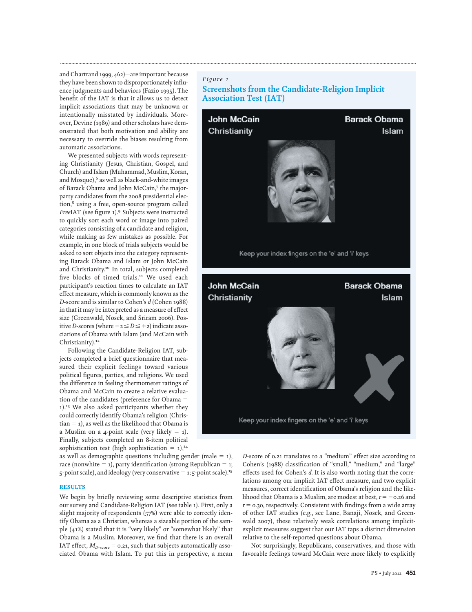and Chartrand 1999, 462)—are important because they have been shown to disproportionately influence judgments and behaviors (Fazio 1995). The benefit of the IAT is that it allows us to detect implicit associations that may be unknown or intentionally misstated by individuals. Moreover, Devine (1989) and other scholars have demonstrated that both motivation and ability are necessary to override the biases resulting from automatic associations.

We presented subjects with words representing Christianity (Jesus, Christian, Gospel, and Church) and Islam (Muhammad, Muslim, Koran, and Mosque), $6$  as well as black-and-white images of Barack Obama and John McCain,7 the majorparty candidates from the 2008 presidential election,8 using a free, open-source program called *Free*IAT (see figure 1).9 Subjects were instructed to quickly sort each word or image into paired categories consisting of a candidate and religion, while making as few mistakes as possible. For example, in one block of trials subjects would be asked to sort objects into the category representing Barack Obama and Islam or John McCain and Christianity.<sup>10</sup> In total, subjects completed five blocks of timed trials.<sup>11</sup> We used each participant's reaction times to calculate an IAT effect measure, which is commonly known as the *D*-score and is similar to Cohen's *d* (Cohen 1988) in that it may be interpreted as a measure of effect size (Greenwald, Nosek, and Sriram 2006). Positive *D*-scores (where  $-z \le D \le +2$ ) indicate associations of Obama with Islam (and McCain with Christianity).<sup>12</sup>

Following the Candidate-Religion IAT, subjects completed a brief questionnaire that measured their explicit feelings toward various political figures, parties, and religions. We used the difference in feeling thermometer ratings of Obama and McCain to create a relative evaluation of the candidates (preference for Obama 1).13 We also asked participants whether they could correctly identify Obama's religion (Chris $tian = 1$ ), as well as the likelihood that Obama is a Muslim on a 4-point scale (very likely  $= 1$ ). Finally, subjects completed an 8-item political sophistication test (high sophistication  $= 1$ ),<sup>14</sup>

as well as demographic questions including gender (male  $= 1$ ), race (nonwhite  $= 1$ ), party identification (strong Republican  $= 1$ ; 5-point scale), and ideology (very conservative  $=$  1; 5-point scale).<sup>15</sup>

## **RESULTS**

We begin by briefly reviewing some descriptive statistics from our survey and Candidate-Religion IAT (see table 1). First, only a slight majority of respondents (57%) were able to correctly identify Obama as a Christian, whereas a sizeable portion of the sample (41%) stated that it is "very likely" or "somewhat likely" that Obama is a Muslim. Moreover, we find that there is an overall IAT effect,  $M_{D\text{-score}} = 0.21$ , such that subjects automatically associated Obama with Islam. To put this in perspective, a mean

# *Figure 1*

**.............................................................................................................................................................................................................................................................**

# **Screenshots from the Candidate-Religion Implicit Association Test (IAT)**



*D*-score of 0.21 translates to a "medium" effect size according to Cohen's (1988) classification of "small," "medium," and "large" effects used for Cohen's *d*. It is also worth noting that the correlations among our implicit IAT effect measure, and two explicit measures, correct identification of Obama's religion and the likelihood that Obama is a Muslim, are modest at best, *r* = –0.26 and  $r = 0.30$ , respectively. Consistent with findings from a wide array of other IAT studies (e.g., see Lane, Banaji, Nosek, and Greenwald 2007), these relatively weak correlations among implicitexplicit measures suggest that our IAT taps a distinct dimension relative to the self-reported questions about Obama.

Not surprisingly, Republicans, conservatives, and those with favorable feelings toward McCain were more likely to explicitly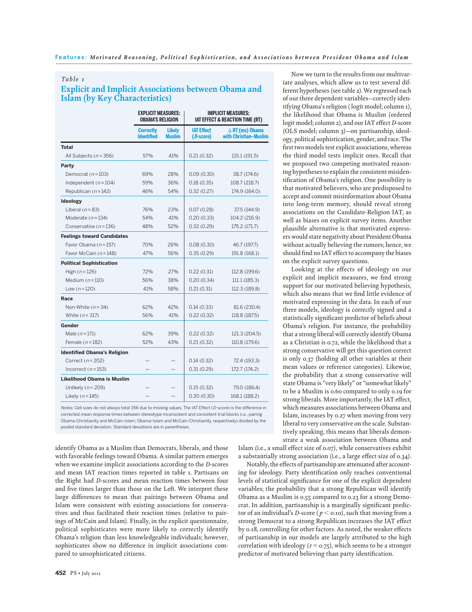## *Table 1*

# **Explicit and Implicit Associations between Obama and Islam (by Key Characteristics)**

|                                    | <b>EXPLICIT MEASURES:</b><br><b>OBAMA'S RELIGION</b> |                                | <b>IMPLICIT MEASURES:</b><br><b>IAT EFFECT &amp; REACTION TIME (RT)</b> |                                                 |
|------------------------------------|------------------------------------------------------|--------------------------------|-------------------------------------------------------------------------|-------------------------------------------------|
|                                    | <b>Correctly</b><br><b>Identified</b>                | <b>Likely</b><br><b>Muslim</b> | <b>IAT Effect</b><br>(D-score)                                          | $\Delta$ RT (ms) Obama<br>with Christian-Muslim |
| <b>Total</b>                       |                                                      |                                |                                                                         |                                                 |
| All Subjects $(n = 356)$           | 57%                                                  | 41%                            | 0.21(0.32)                                                              | 115.1 (191.5)                                   |
| Party                              |                                                      |                                |                                                                         |                                                 |
| Democrat $(n=103)$                 | 69%                                                  | 28%                            | 0.09(0.30)                                                              | 38.7 (174.6)                                    |
| Independent $(n=104)$              | 59%                                                  | 36%                            | 0.18(0.35)                                                              | 108.7 (218.7)                                   |
| Republican $(n=142)$               | 46%                                                  | 54%                            | 0.32(0.27)                                                              | 174.9 (164.0)                                   |
| <b>Ideology</b>                    |                                                      |                                |                                                                         |                                                 |
| Liberal $(n = 83)$                 | 76%                                                  | 23%                            | 0.07(0.28)                                                              | 37.5 (144.9)                                    |
| Moderate $(n=134)$                 | 54%                                                  | 41%                            | 0.20(0.33)                                                              | 104.2 (216.9)                                   |
| Conservative $(n=136)$             | 48%                                                  | 52%                            | 0.32(0.29)                                                              | 175.2 (171.7)                                   |
| <b>Feelings toward Candidates</b>  |                                                      |                                |                                                                         |                                                 |
| Favor Obama $(n=157)$              | 70%                                                  | 26%                            | 0.08(0.30)                                                              | 46.7 (197.7)                                    |
| Favor McCain $(n=148)$             | 47%                                                  | 56%                            | 0.35(0.29)                                                              | 191.8 (168.1)                                   |
| <b>Political Sophistication</b>    |                                                      |                                |                                                                         |                                                 |
| High $(n=126)$                     | 72%                                                  | 27%                            | 0.22(0.31)                                                              | 112.8 (199.6)                                   |
| Medium $(n=110)$                   | 56%                                                  | 38%                            | 0.20(0.34)                                                              | 111.1(185.3)                                    |
| Low $(n = 120)$                    | 41%                                                  | 58%                            | 0.21(0.31)                                                              | 112.3 (189.8)                                   |
| Race                               |                                                      |                                |                                                                         |                                                 |
| Non-White $(n=34)$                 | 62%                                                  | 42%                            | 0.14(0.33)                                                              | 81.6 (230.4)                                    |
| White $(n=317)$                    | 56%                                                  | 41%                            | 0.22(0.32)                                                              | 118.8 (187.5)                                   |
| Gender                             |                                                      |                                |                                                                         |                                                 |
| Male $(n = 171)$                   | 62%                                                  | 39%                            | 0.22(0.32)                                                              | 121.3 (204.5)                                   |
| Female $(n=182)$                   | 52%                                                  | 43%                            | 0.21(0.32)                                                              | 110.8 (179.6)                                   |
| <b>Identified Obama's Religion</b> |                                                      |                                |                                                                         |                                                 |
| Correct $(n=202)$                  |                                                      |                                | 0.14(0.32)                                                              | 72.4 (193.3)                                    |
| Incorrect $(n=153)$                |                                                      |                                | 0.31(0.29)                                                              | 172.7 (174.2)                                   |
| Likelihood Obama is Muslim         |                                                      |                                |                                                                         |                                                 |
| Unlikely $(n = 209)$               |                                                      |                                | 0.15(0.32)                                                              | 79.0 (186.4)                                    |
| Likely $(n=145)$                   |                                                      |                                | 0.30(0.30)                                                              | 168.1 (188.2)                                   |

Notes: Cell sizes do not always total 356 due to missing values. The IAT Effect (D-score) is the difference in corrected mean response times between stereotype-inconsistent and consistent trial blocks (i.e., pairing Obama-Christianity and McCain-Islam; Obama-Islam and McCain-Christianity, respectively) divided by the pooled standard deviation. Standard deviations are in parentheses.

identify Obama as a Muslim than Democrats, liberals, and those with favorable feelings toward Obama. A similar pattern emerges when we examine implicit associations according to the *D*-scores and mean IAT reaction times reported in table 1. Partisans on the Right had *D*-scores and mean reaction times between four and five times larger than those on the Left. We interpret these large differences to mean that pairings between Obama and Islam were consistent with existing associations for conservatives and thus facilitated their reaction times (relative to pairings of McCain and Islam). Finally, in the explicit questionnaire, political sophisticates were more likely to correctly identify Obama's religion than less knowledgeable individuals; however, sophisticates show no difference in implicit associations compared to unsophisticated citizens.

Now we turn to the results from our multivariate analyses, which allow us to test several different hypotheses (see table 2).We regressed each of our three dependent variables—correctly identifying Obama's religion ( logit model; column 1), the likelihood that Obama is Muslim (ordered logit model; column 2), and our IAT effect *D*-score (OLS model; column 3)—on partisanship, ideology, political sophistication, gender, and race.The first two models test explicit associations, whereas the third model tests implicit ones. Recall that we proposed two competing motivated reasoning hypotheses to explain the consistent misidentification of Obama's religion. One possibility is that motivated believers, who are predisposed to accept and commit misinformation about Obama into long-term memory, should reveal strong associations on the Candidate-Religion IAT, as well as biases on explicit survey items. Another plausible alternative is that motivated expressers would state negativity about President Obama without actually believing the rumors; hence, we should find no IAT effect to accompany the biases on the explicit survey questions.

Looking at the effects of ideology on our explicit and implicit measures, we find strong support for our motivated believing hypothesis, which also means that we find little evidence of motivated expressing in the data. In each of our three models, ideology is correctly signed and a statistically significant predictor of beliefs about Obama's religion. For instance, the probability that a strong liberal will correctly identify Obama as a Christian is 0.72, while the likelihood that a strong conservative will get this question correct is only 0.37 (holding all other variables at their mean values or reference categories). Likewise, the probability that a strong conservative will state Obama is "very likely" or "somewhat likely" to be a Muslim is 0.60 compared to only 0.19 for strong liberals. More importantly, the IAT effect, which measures associations between Obama and Islam, increases by 0.27 when moving from very liberal to very conservative on the scale. Substantively speaking, this means that liberals demonstrate a weak association between Obama and

Islam (i.e., a small effect size of 0.07), while conservatives exhibit a substantially strong association (i.e., a large effect size of 0.34).

Notably, the effects of partisanship are attenuated after accounting for ideology. Party identification only reaches conventional levels of statistical significance for one of the explicit dependent variables; the probability that a strong Republican will identify Obama as a Muslim is 0.55 compared to 0.23 for a strong Democrat. In addition, partisanship is a marginally significant predictor of an individual's *D*-score ( $p <$  0.10), such that moving from a strong Democrat to a strong Republican increases the IAT effect by 0.18, controlling for other factors. As noted, the weaker effects of partisanship in our models are largely attributed to the high correlation with ideology ( $r = 0.75$ ), which seems to be a stronger predictor of motivated believing than party identification.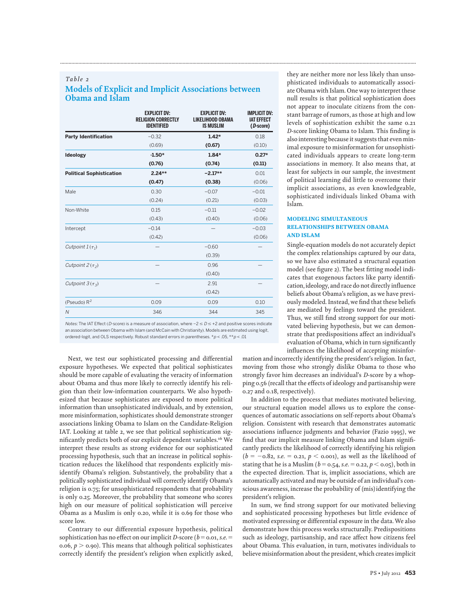# *Table 2* **Models of Explicit and Implicit Associations between Obama and Islam**

**.............................................................................................................................................................................................................................................................**

|                                 | <b>EXPLICIT DV:</b><br><b>RELIGION CORRECTLY</b><br><b>IDENTIFIED</b> | <b>EXPLICIT DV:</b><br><b>LIKELIHOOD OBAMA</b><br><b>IS MUSLIM</b> | <b>IMPLICIT DV:</b><br><b>IAT EFFECT</b><br>(D-score) |
|---------------------------------|-----------------------------------------------------------------------|--------------------------------------------------------------------|-------------------------------------------------------|
| <b>Party Identification</b>     | $-0.32$                                                               | $1.42*$                                                            | 0.18                                                  |
|                                 | (0.69)                                                                | (0.67)                                                             | (0.10)                                                |
| Ideology                        | $-1.50*$                                                              | $1.84*$                                                            | $0.27*$                                               |
|                                 | (0.76)                                                                | (0.74)                                                             | (0.11)                                                |
| <b>Political Sophistication</b> | $2.24**$                                                              | $-2.17**$                                                          | 0.01                                                  |
|                                 | (0.47)                                                                | (0.38)                                                             | (0.06)                                                |
| Male                            | 0.30                                                                  | $-0.07$                                                            | $-0.01$                                               |
|                                 | (0.24)                                                                | (0.21)                                                             | (0.03)                                                |
| Non-White                       | 0.15                                                                  | $-0.11$                                                            | $-0.02$                                               |
|                                 | (0.43)                                                                | (0.40)                                                             | (0.06)                                                |
| Intercept                       | $-0.14$                                                               |                                                                    | $-0.03$                                               |
|                                 | (0.42)                                                                |                                                                    | (0.06)                                                |
| Cutpoint $1(\tau_1)$            |                                                                       | $-0.60$                                                            |                                                       |
|                                 |                                                                       | (0.39)                                                             |                                                       |
| Cutpoint $2(\tau_2)$            |                                                                       | 0.96                                                               |                                                       |
|                                 |                                                                       | (0.40)                                                             |                                                       |
| Cutpoint $3(\tau_3)$            |                                                                       | 2.91                                                               |                                                       |
|                                 |                                                                       | (0.42)                                                             |                                                       |
| (Pseudo) $R^2$                  | 0.09                                                                  | 0.09                                                               | 0.10                                                  |
| $\overline{N}$                  | 346                                                                   | 344                                                                | 345                                                   |
|                                 |                                                                       |                                                                    |                                                       |

Notes: The IAT Effect (*D*-score) is a measure of association, where −2 ≤ D ≤ +2 and positive scores indicate an association between Obama with Islam (and McCain with Christianity). Models are estimated using logit, ordered-logit, and OLS respectively. Robust standard errors in parentheses.  $* p < .05, ** p < .01$ 

Next, we test our sophisticated processing and differential exposure hypotheses. We expected that political sophisticates should be more capable of evaluating the veracity of information about Obama and thus more likely to correctly identify his religion than their low-information counterparts. We also hypothesized that because sophisticates are exposed to more political information than unsophisticated individuals, and by extension, more misinformation, sophisticates should demonstrate stronger associations linking Obama to Islam on the Candidate-Religion IAT. Looking at table 2, we see that political sophistication significantly predicts both of our explicit dependent variables.<sup>16</sup> We interpret these results as strong evidence for our sophisticated processing hypothesis, such that an increase in political sophistication reduces the likelihood that respondents explicitly misidentify Obama's religion. Substantively, the probability that a politically sophisticated individual will correctly identify Obama's religion is 0.75; for unsophisticated respondents that probability is only 0.25. Moreover, the probability that someone who scores high on our measure of political sophistication will perceive Obama as a Muslim is only 0.20, while it is 0.69 for those who score low.

Contrary to our differential exposure hypothesis, political sophistication has no effect on our implicit *D*-score ( $b = 0.01$ , s.e.  $=$ 0.06,  $p > 0.90$ ). This means that although political sophisticates correctly identify the president's religion when explicitly asked, they are neither more nor less likely than unsophisticated individuals to automatically associate Obama with Islam. One way to interpret these null results is that political sophistication does not appear to inoculate citizens from the constant barrage of rumors, as those at high and low levels of sophistication exhibit the same 0.21 *D*-score linking Obama to Islam. This finding is also interesting because it suggests that even minimal exposure to misinformation for unsophisticated individuals appears to create long-term associations in memory. It also means that, at least for subjects in our sample, the investment of political learning did little to overcome their implicit associations, as even knowledgeable, sophisticated individuals linked Obama with Islam.

# MODELING SIMULTANEOUS RELATIONSHIPS BETWEEN OBAMA AND ISLAM

Single-equation models do not accurately depict the complex relationships captured by our data, so we have also estimated a structural equation model (see figure 2). The best fitting model indicates that exogenous factors like party identification, ideology, and race do not directly influence beliefs about Obama's religion, as we have previously modeled. Instead, we find that these beliefs are mediated by feelings toward the president. Thus, we still find strong support for our motivated believing hypothesis, but we can demonstrate that predispositions affect an individual's evaluation of Obama, which in turn significantly influences the likelihood of accepting misinfor-

mation and incorrectly identifying the president's religion. In fact, moving from those who strongly dislike Obama to those who strongly favor him decreases an individual's *D*-score by a whopping 0.56 (recall that the effects of ideology and partisanship were 0.27 and 0.18, respectively).

In addition to the process that mediates motivated believing, our structural equation model allows us to explore the consequences of automatic associations on self-reports about Obama's religion. Consistent with research that demonstrates automatic associations influence judgments and behavior (Fazio 1995), we find that our implicit measure linking Obama and Islam significantly predicts the likelihood of correctly identifying his religion  $(b = -0.8$ 2, *s.e*. = 0.21,  $p <$  0.001), as well as the likelihood of stating that he is a Muslim ( $b = 0.54$ , *s.e.* = 0.22,  $p < 0.05$ ), both in the expected direction. That is, implicit associations, which are automatically activated and may be outside of an individual's conscious awareness, increase the probability of (mis)identifying the president's religion.

In sum, we find strong support for our motivated believing and sophisticated processing hypotheses but little evidence of motivated expressing or differential exposure in the data.We also demonstrate how this process works structurally. Predispositions such as ideology, partisanship, and race affect how citizens feel about Obama. This evaluation, in turn, motivates individuals to believe misinformation about the president, which creates implicit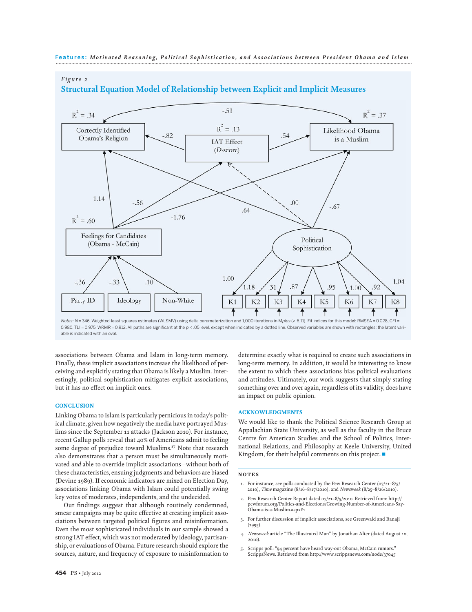

# *Figure 2* **Structural Equation Model of Relationship between Explicit and Implicit Measures**

Notes: N = 346. Weighted-least squares estimates (WLSMV) using delta parameterization and 1,000 iterations in Mplus (v. 6.11). Fit indices for this model: RMSEA = 0.028, CFI = 0.980, TLI = 0.975, WRMR = 0.912. All paths are significant at the  $p < .05$  level, except when indicated by a dotted line. Observed variables are shown with rectangles; the latent variable is indicated with an oval.

associations between Obama and Islam in long-term memory. Finally, these implicit associations increase the likelihood of perceiving and explicitly stating that Obama is likely a Muslim. Interestingly, political sophistication mitigates explicit associations, but it has no effect on implicit ones.

#### **CONCLUSION**

Linking Obama to Islam is particularly pernicious in today's political climate, given how negatively the media have portrayed Muslims since the September 11 attacks (Jackson 2010). For instance, recent Gallup polls reveal that 40% of Americans admit to feeling some degree of prejudice toward Muslims.17 Note that research also demonstrates that a person must be simultaneously motivated *and* able to override implicit associations—without both of these characteristics, ensuing judgments and behaviors are biased (Devine 1989). If economic indicators are mixed on Election Day, associations linking Obama with Islam could potentially swing key votes of moderates, independents, and the undecided.

Our findings suggest that although routinely condemned, smear campaigns may be quite effective at creating implicit associations between targeted political figures and misinformation. Even the most sophisticated individuals in our sample showed a strong IAT effect, which was not moderated by ideology, partisanship, or evaluations of Obama. Future research should explore the sources, nature, and frequency of exposure to misinformation to

determine exactly what is required to create such associations in long-term memory. In addition, it would be interesting to know the extent to which these associations bias political evaluations and attitudes. Ultimately, our work suggests that simply stating something over and over again, regardless of its validity, does have an impact on public opinion.

#### ACKNOWLEDGMENTS

We would like to thank the Political Science Research Group at Appalachian State University, as well as the faculty in the Bruce Centre for American Studies and the School of Politics, International Relations, and Philosophy at Keele University, United Kingdom, for their helpful comments on this project.  $\blacksquare$ 

#### NOTES

- 1. For instance, see polls conducted by the Pew Research Center (07/21–8/5/ 2010), *Time* magazine (8/16–8/17/2010), and *Newsweek* (8/25–8/26/2010).
- 2. Pew Research Center Report dated 07/21–8/5/2010. Retrieved from: http:// pewforum.org/Politics-and-Elections/Growing-Number-of-Americans-Say-Obama-is-a-Muslim.aspx#1
- 3. For further discussion of implicit associations, see Greenwald and Banaji (1995).
- 4. *Newsweek* article "The Illustrated Man" by Jonathan Alter (dated August 10, 2010).
- 5. Scripps poll: "94 percent have heard way-out Obama, McCain rumors." ScrippsNews. Retrieved from http://www.scrippsnews.com/node/37045